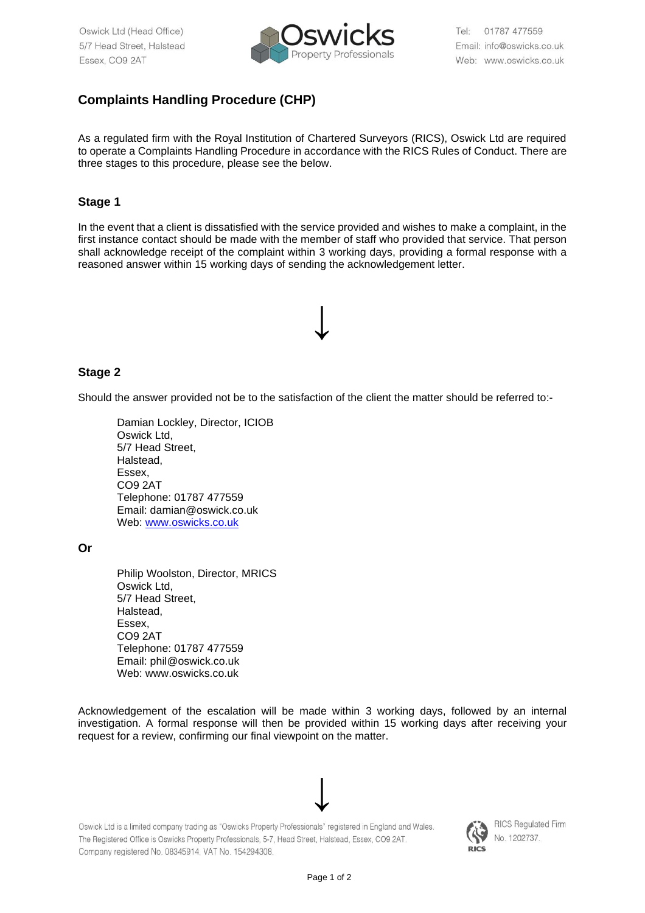

# **Complaints Handling Procedure (CHP)**

As a regulated firm with the Royal Institution of Chartered Surveyors (RICS), Oswick Ltd are required to operate a Complaints Handling Procedure in accordance with the RICS Rules of Conduct. There are three stages to this procedure, please see the below.

# **Stage 1**

In the event that a client is dissatisfied with the service provided and wishes to make a complaint, in the first instance contact should be made with the member of staff who provided that service. That person shall acknowledge receipt of the complaint within 3 working days, providing a formal response with a reasoned answer within 15 working days of sending the acknowledgement letter.

**↓**

### **Stage 2**

Should the answer provided not be to the satisfaction of the client the matter should be referred to:-

Damian Lockley, Director, ICIOB Oswick Ltd, 5/7 Head Street, Halstead, Essex, CO9 2AT Telephone: 01787 477559 Email: damian@oswick.co.uk Web: [www.oswicks.co.uk](http://www.oswicks.co.uk/)

**Or**

Philip Woolston, Director, MRICS Oswick Ltd, 5/7 Head Street, Halstead, Essex, CO9 2AT Telephone: 01787 477559 Email: phil@oswick.co.uk Web: www.oswicks.co.uk

Acknowledgement of the escalation will be made within 3 working days, followed by an internal investigation. A formal response will then be provided within 15 working days after receiving your request for a review, confirming our final viewpoint on the matter.

**↓**

Oswick Ltd is a limited company trading as "Oswicks Property Professionals" registered in England and Wales. The Registered Office is Oswicks Property Professionals, 5-7, Head Street, Halstead, Essex, CO9 2AT. Company registered No. 08345914. VAT No. 154294308.



**RICS Regulated Firm** No. 1202737.